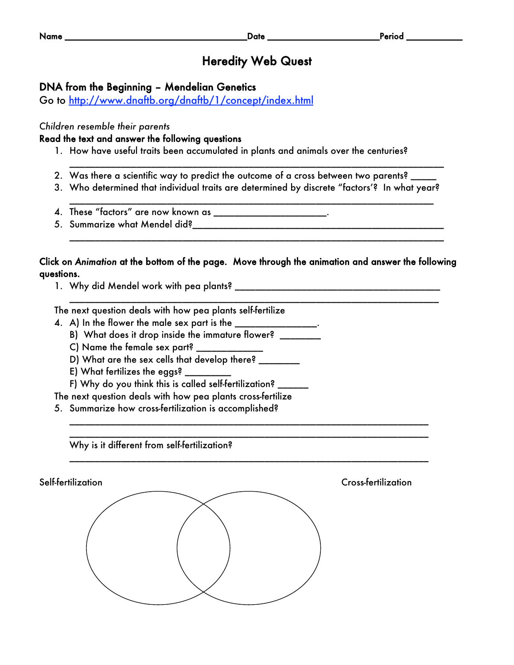## Heredity Web Quest

### DNA from the Beginning – Mendelian Genetics

Go to http://www.dnaftb.org/dnaftb/1/concept/index.html

#### *Children resemble their parents*

#### Read the text and answer the following questions

- 1. How have useful traits been accumulated in plants and animals over the centuries?
- 2. Was there a scientific way to predict the outcome of a cross between two parents?
- 3. Who determined that individual traits are determined by discrete "factors'? In what year? \_\_\_\_\_\_\_\_\_\_\_\_\_\_\_\_\_\_\_\_\_\_\_\_\_\_\_\_\_\_\_\_\_\_\_\_\_\_\_\_\_\_\_\_\_\_\_\_\_\_\_\_\_\_\_\_\_\_\_\_\_\_\_\_\_\_\_\_\_\_\_

\_\_\_\_\_\_\_\_\_\_\_\_\_\_\_\_\_\_\_\_\_\_\_\_\_\_\_\_\_\_\_\_\_\_\_\_\_\_\_\_\_\_\_\_\_\_\_\_\_\_\_\_\_\_\_\_\_\_\_\_\_\_\_\_\_\_\_\_\_\_\_\_\_

- 4. These "factors" are now known as \_\_\_\_\_\_\_\_\_\_\_\_\_\_\_\_\_\_\_\_\_\_.
- 5. Summarize what Mendel did?\_\_\_\_\_\_\_\_\_\_\_\_\_\_\_\_\_\_\_\_\_\_\_\_\_\_\_\_\_\_\_\_\_\_\_\_\_\_\_\_\_\_\_\_\_\_\_\_\_

#### Click on *Animation* at the bottom of the page. Move through the animation and answer the following questions.

\_\_\_\_\_\_\_\_\_\_\_\_\_\_\_\_\_\_\_\_\_\_\_\_\_\_\_\_\_\_\_\_\_\_\_\_\_\_\_\_\_\_\_\_\_\_\_\_\_\_\_\_\_\_\_\_\_\_\_\_\_\_\_\_\_\_\_\_\_\_\_\_

\_\_\_\_\_\_\_\_\_\_\_\_\_\_\_\_\_\_\_\_\_\_\_\_\_\_\_\_\_\_\_\_\_\_\_\_\_\_\_\_\_\_\_\_\_\_\_\_\_\_\_\_\_\_\_\_\_\_\_\_\_\_\_\_\_\_\_\_\_\_ \_\_\_\_\_\_\_\_\_\_\_\_\_\_\_\_\_\_\_\_\_\_\_\_\_\_\_\_\_\_\_\_\_\_\_\_\_\_\_\_\_\_\_\_\_\_\_\_\_\_\_\_\_\_\_\_\_\_\_\_\_\_\_\_\_\_\_\_\_\_

\_\_\_\_\_\_\_\_\_\_\_\_\_\_\_\_\_\_\_\_\_\_\_\_\_\_\_\_\_\_\_\_\_\_\_\_\_\_\_\_\_\_\_\_\_\_\_\_\_\_\_\_\_\_\_\_\_\_\_\_\_\_\_\_\_\_\_\_\_\_

\_\_\_\_\_\_\_\_\_\_\_\_\_\_\_\_\_\_\_\_\_\_\_\_\_\_\_\_\_\_\_\_\_\_\_\_\_\_\_\_\_\_\_\_\_\_\_\_\_\_\_\_\_\_\_\_\_\_\_\_\_\_\_\_\_\_\_\_\_\_\_\_\_

1. Why did Mendel work with pea plants? \_\_\_\_\_\_\_\_\_\_\_\_\_\_\_\_\_\_\_\_\_\_\_\_\_\_\_\_\_\_\_\_\_\_\_\_\_\_\_\_

The next question deals with how pea plants self-fertilize

- 4.  $\,$  A) In the flower the male sex part is the  $\_\_$ 
	- B) What does it drop inside the immature flower? \_\_\_\_\_\_\_
	- C) Name the female sex part?
	- D) What are the sex cells that develop there? \_\_\_\_\_\_\_\_
	- E) What fertilizes the eggs?  $\overline{\phantom{a}}$
	- F) Why do you think this is called self-fertilization? \_

The next question deals with how pea plants cross-fertilize

5. Summarize how cross-fertilization is accomplished?

Why is it different from self-fertilization?

Self-fertilization Cross-fertilization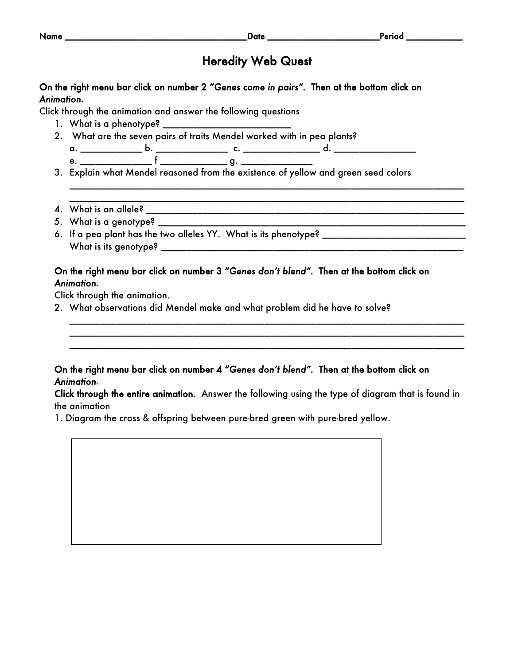| On the right menu bar click on number 2 "Genes come in pairs". Then at the bottom click on                           |
|----------------------------------------------------------------------------------------------------------------------|
| Animation.                                                                                                           |
| Click through the animation and answer the following questions                                                       |
|                                                                                                                      |
| 2. What are the seven pairs of traits Mendel worked with in pea plants?                                              |
|                                                                                                                      |
|                                                                                                                      |
|                                                                                                                      |
|                                                                                                                      |
|                                                                                                                      |
|                                                                                                                      |
|                                                                                                                      |
| On the right menu bar click on number 3 "Genes don't blend". Then at the bottom click on                             |
| Animation.<br>Click through the animation.                                                                           |
| 2. What observations did Mendel make and what problem did he have to solve?                                          |
| On the right menu bar click on number 4 "Genes don't blend". Then at the bottom click on                             |
| Animation.                                                                                                           |
| Click through the entire animation. Answer the following using the type of diagram that is found in<br>the animation |
| 1. Diagram the cross & offspring between pure-bred green with pure-bred yellow.                                      |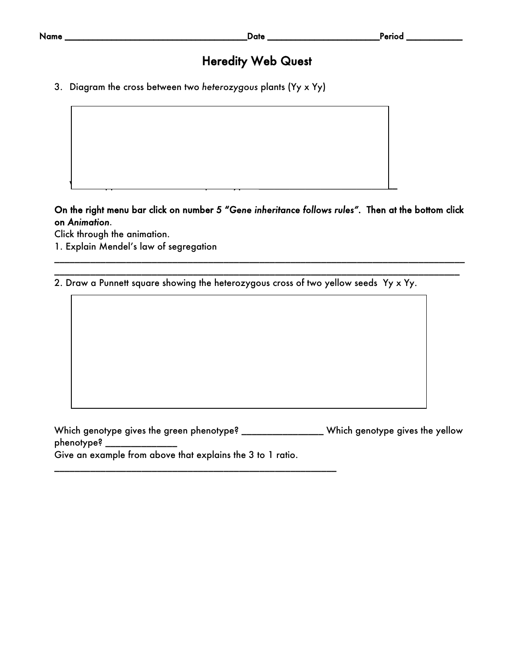# Heredity Web Quest

3. Diagram the cross between two *heterozygous* plants (Yy x Yy)

On the right menu bar click on number 5 "*Gene inheritance follows rules".* Then at the bottom click on *Animation.*

\_\_\_\_\_\_\_\_\_\_\_\_\_\_\_\_\_\_\_\_\_\_\_\_\_\_\_\_\_\_\_\_\_\_\_\_\_\_\_\_\_\_\_\_\_\_\_\_\_\_\_\_\_\_\_\_\_\_\_\_\_\_\_\_\_\_\_\_\_\_\_\_\_\_\_\_\_\_\_\_ \_\_\_\_\_\_\_\_\_\_\_\_\_\_\_\_\_\_\_\_\_\_\_\_\_\_\_\_\_\_\_\_\_\_\_\_\_\_\_\_\_\_\_\_\_\_\_\_\_\_\_\_\_\_\_\_\_\_\_\_\_\_\_\_\_\_\_\_\_\_\_\_\_\_\_\_\_\_\_

Click through the animation.

1. Explain Mendel's law of segregation

2. Draw a Punnett square showing the heterozygous cross of two yellow seeds Yy x Yy.

 $\mathcal{N}$  to the recessive phenotype?  $\mathcal{N}$  and  $\mathcal{N}$  are cessive phenotype?  $\mathcal{N}$ 

Which genotype gives the green phenotype? \_\_\_\_\_\_\_\_\_\_\_\_\_\_\_\_\_Which genotype gives the yellow phenotype? \_\_ Give an example from above that explains the 3 to 1 ratio.

\_\_\_\_\_\_\_\_\_\_\_\_\_\_\_\_\_\_\_\_\_\_\_\_\_\_\_\_\_\_\_\_\_\_\_\_\_\_\_\_\_\_\_\_\_\_\_\_\_\_\_\_\_\_\_